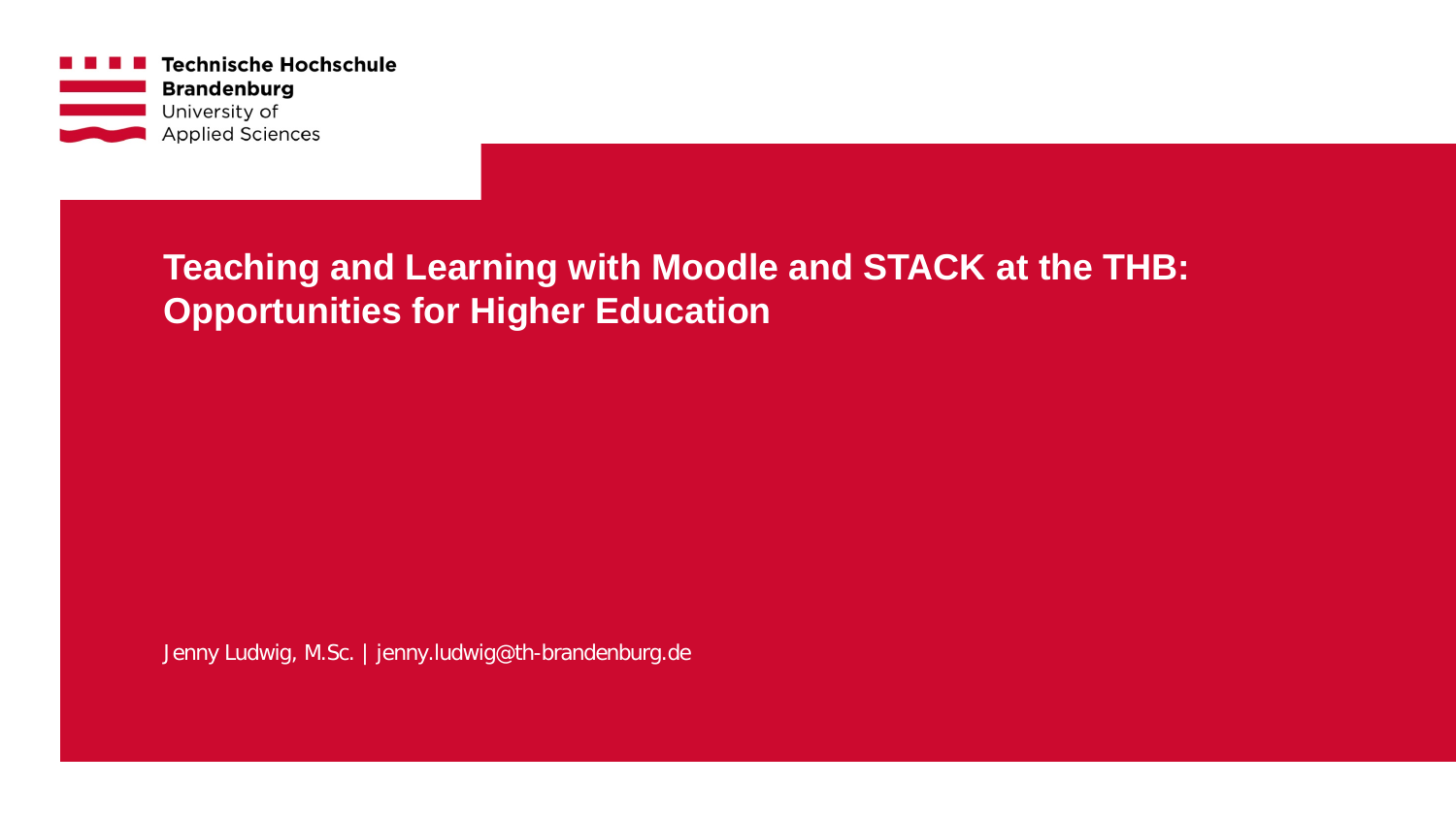

**Teaching and Learning with Moodle and STACK at the THB: Opportunities for Higher Education**

Jenny Ludwig, M.Sc. | jenny.ludwig@th-brandenburg.de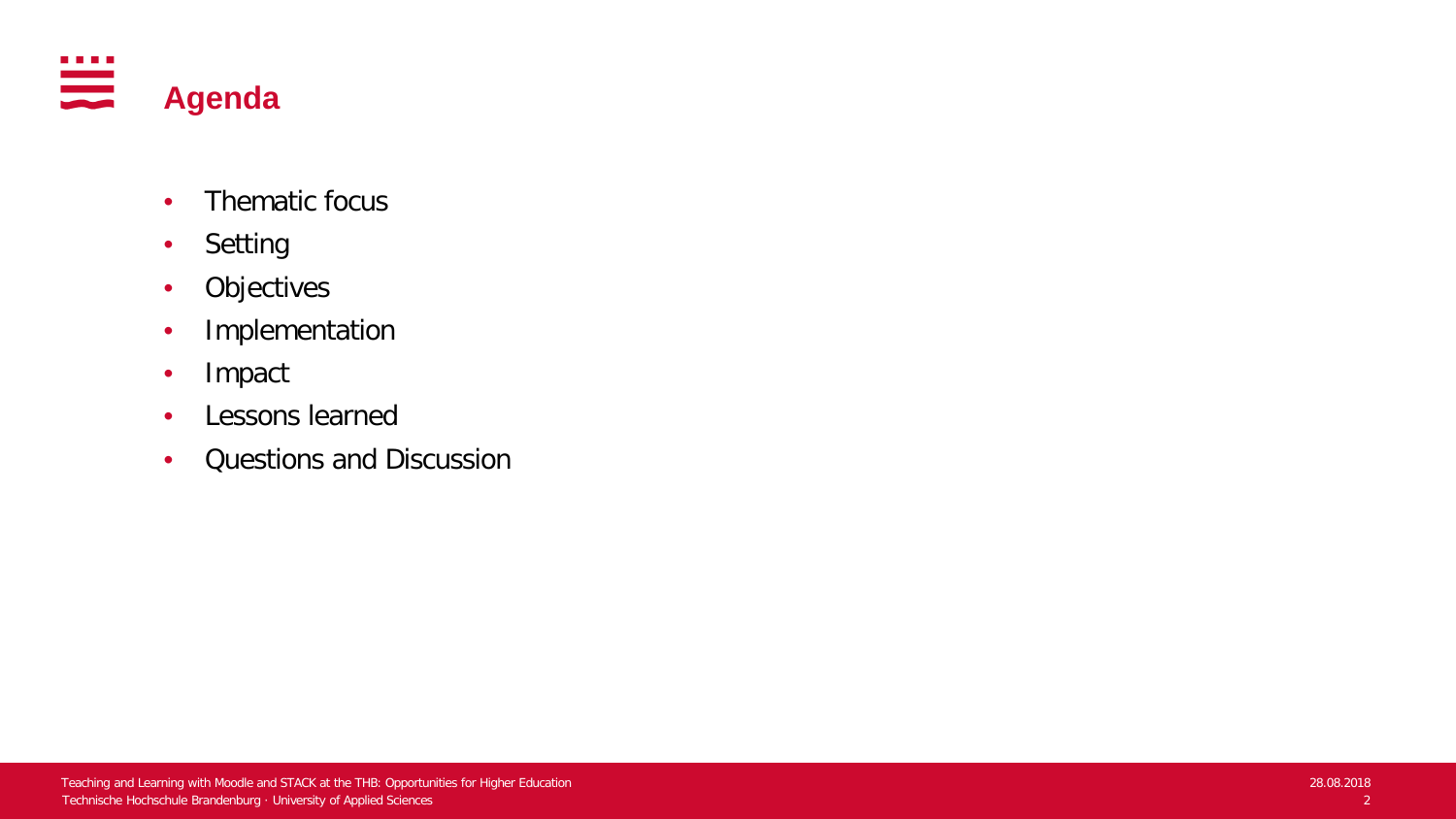

- Thematic focus
- Setting
- Objectives
- Implementation
- Impact
- Lessons learned
- Questions and Discussion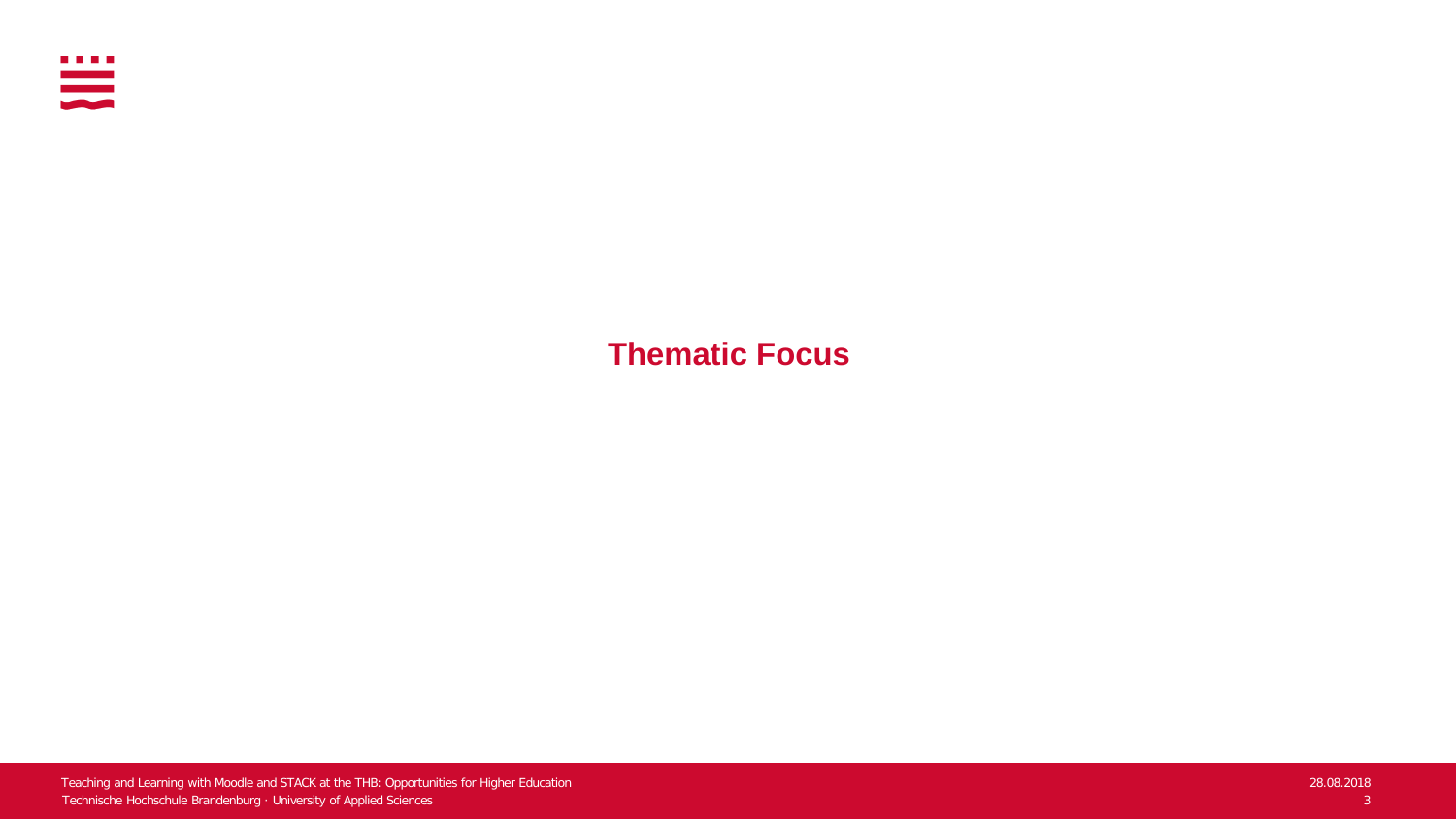

**Thematic Focus**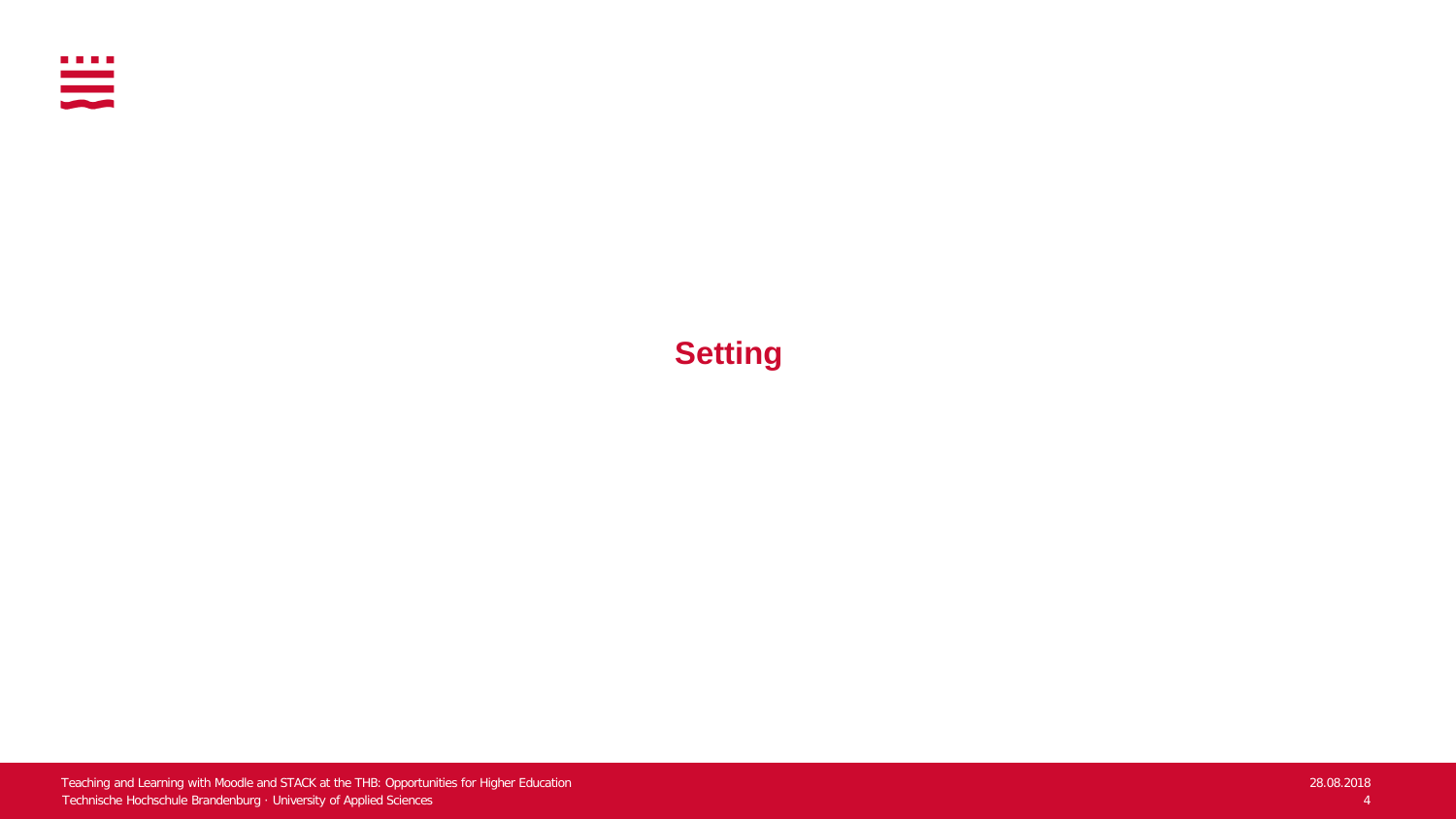

### **Setting**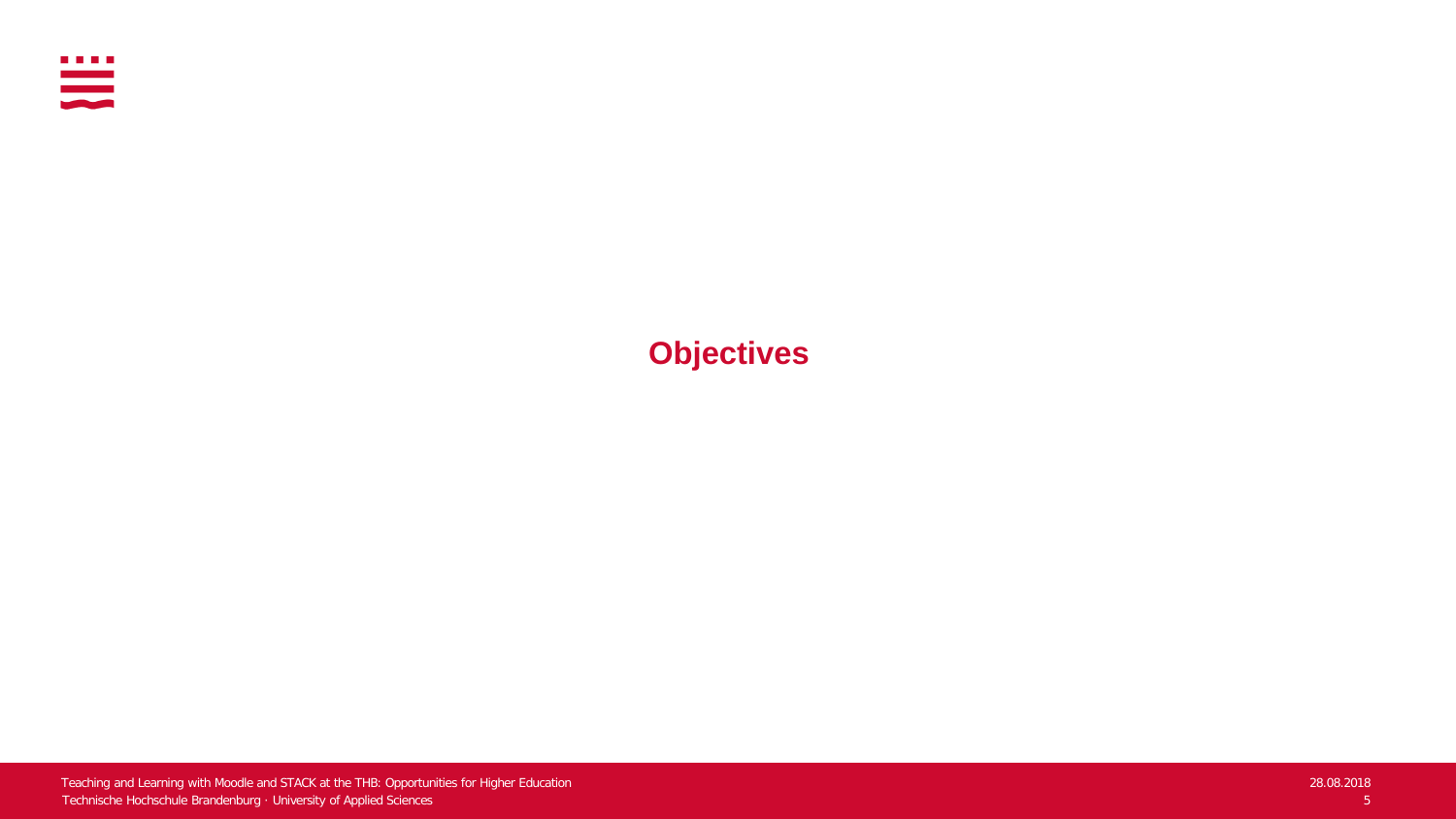

**Objectives**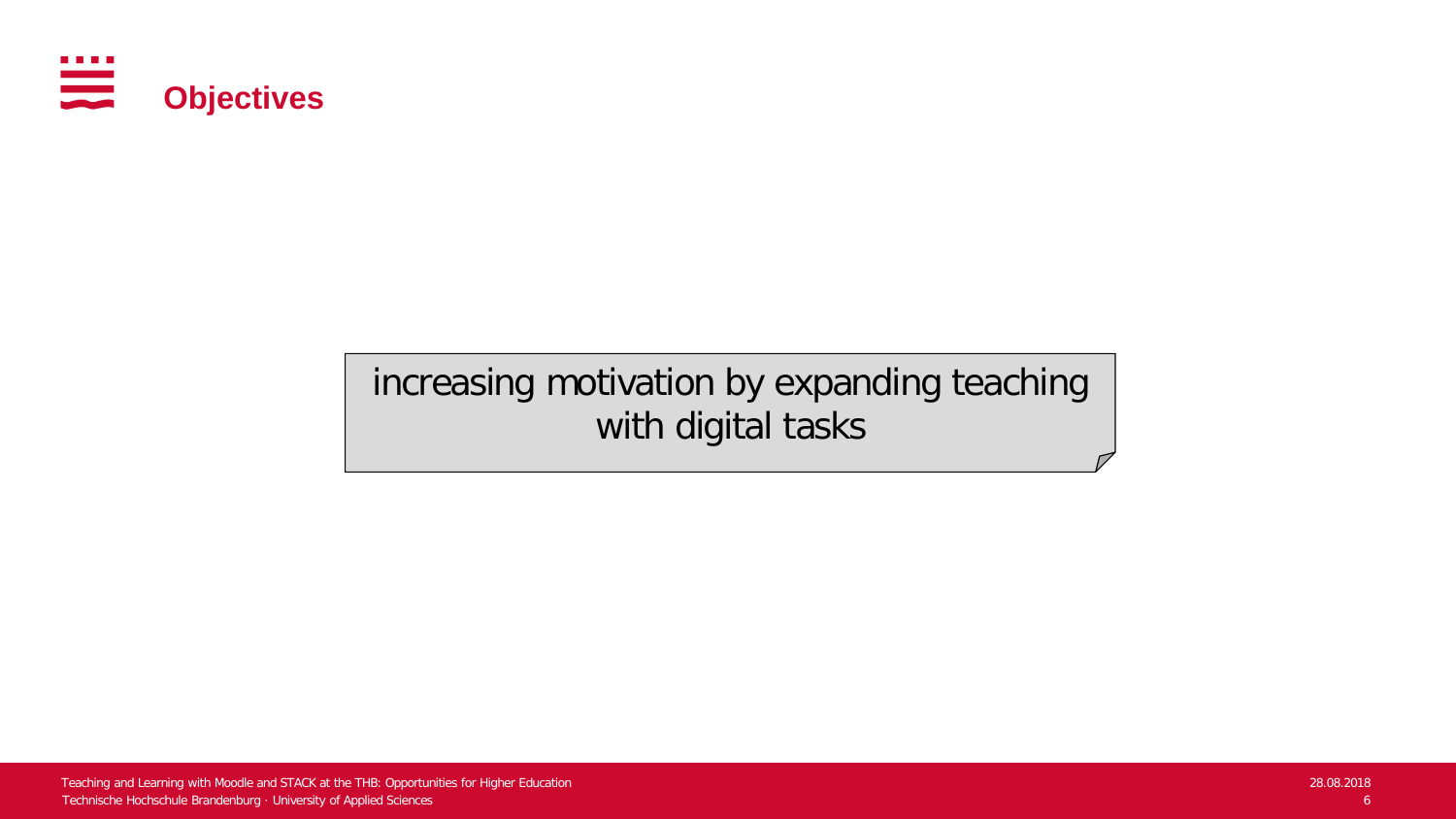

## increasing motivation by expanding teaching with digital tasks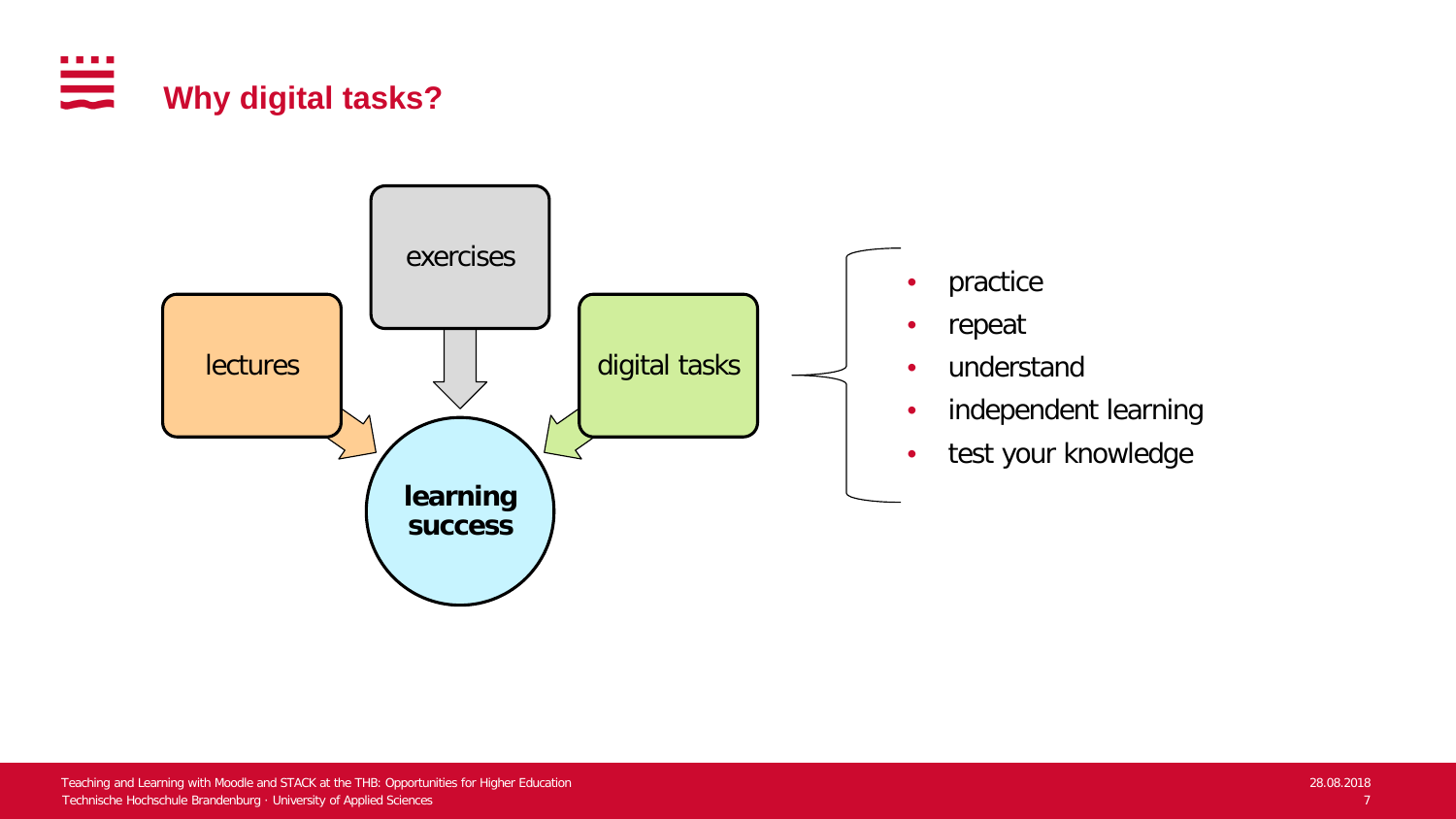

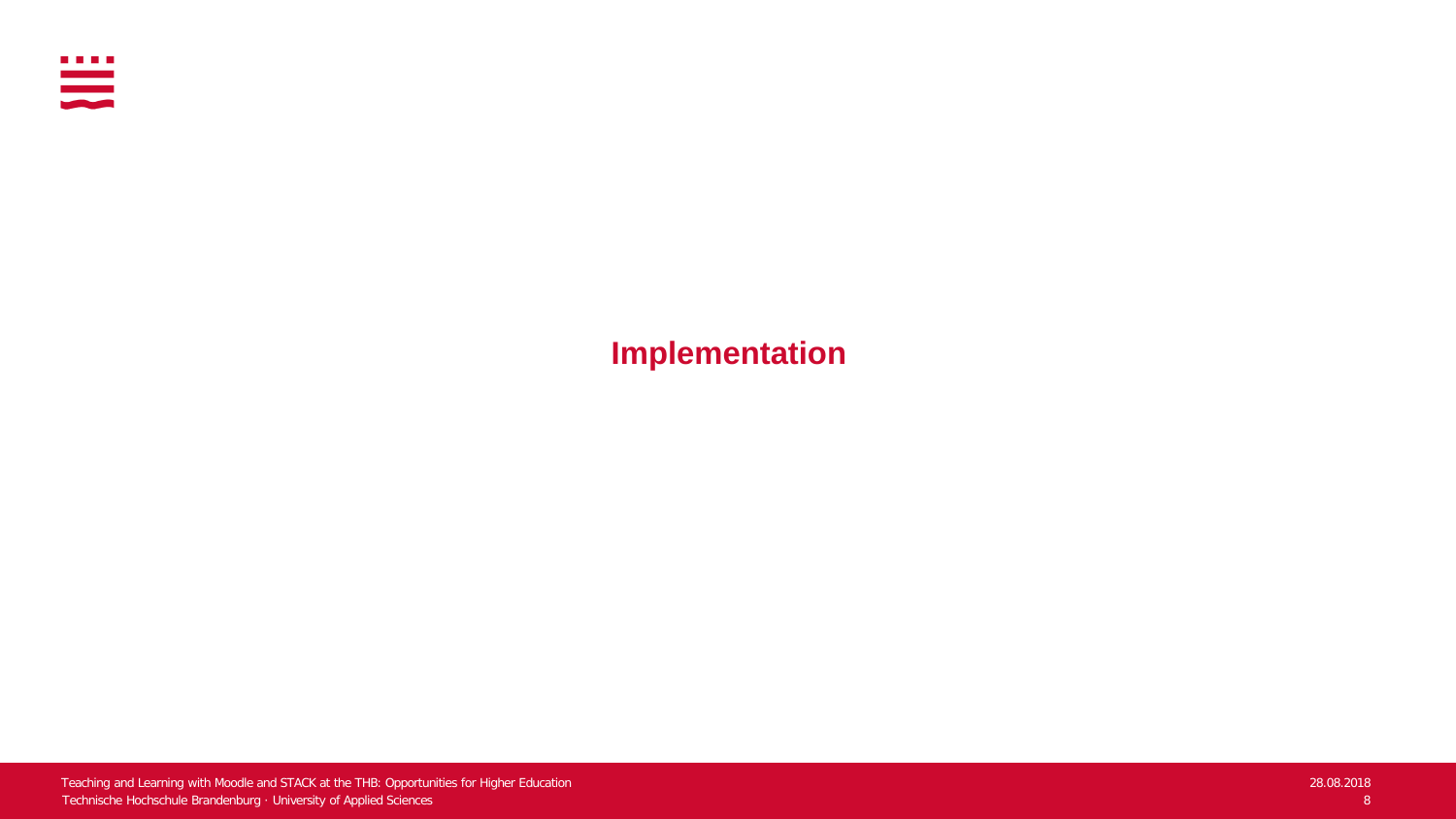

**Implementation**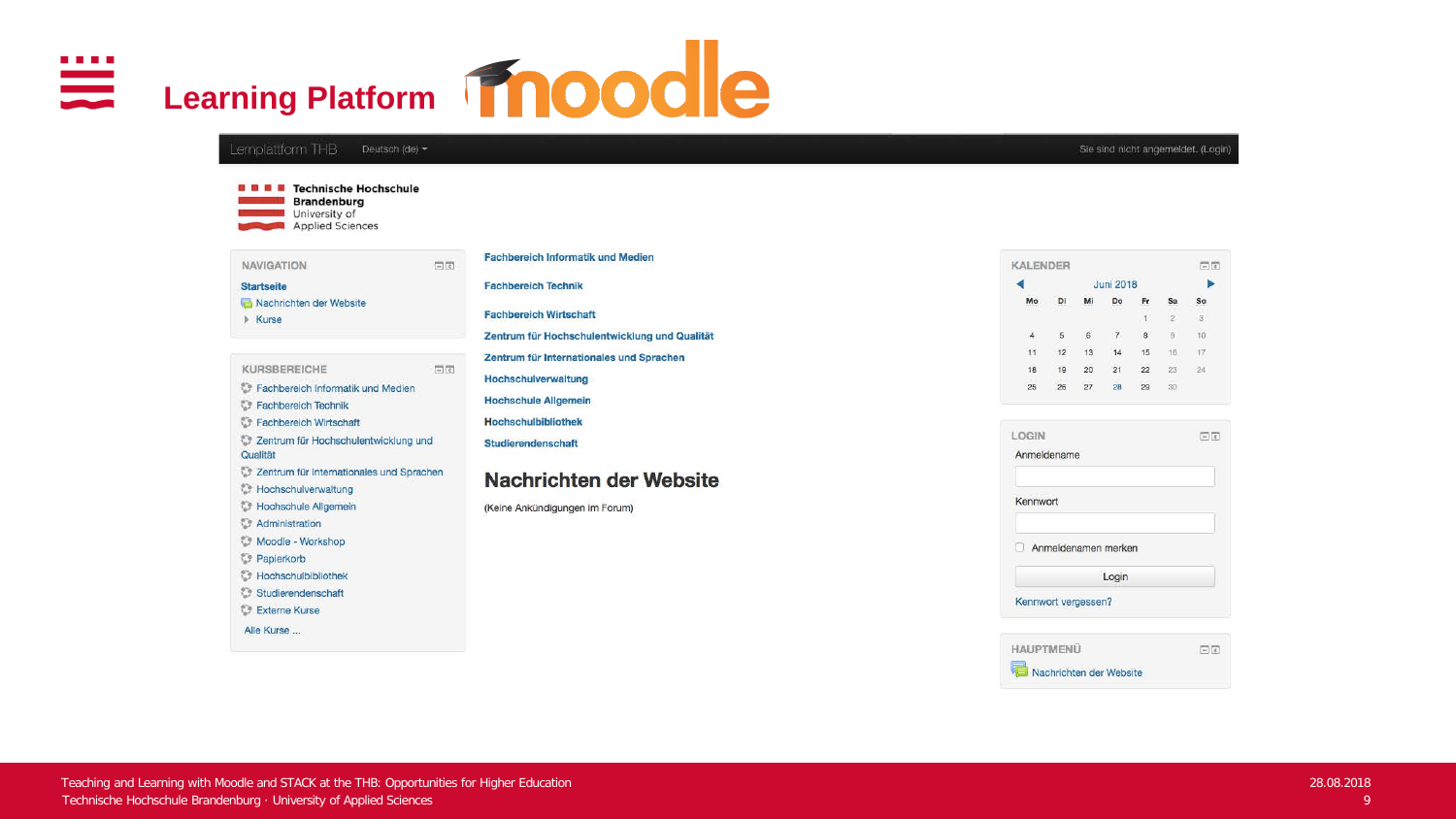Alle Kurse ...

# **Learning Platform Moodle** Lemplattform THB Deutsch (de) + **B B B** Technische Hochschule

日日

**Brandenburg** University of Applied Sciences

| <b>NAVIGATION</b>       |
|-------------------------|
| <b>Startseite</b>       |
| Nachrichten der Website |
| <b>Kurse</b>            |

KURSBEREICHE 日回 Fachbereich Informatik und Medien Fachbereich Technik Fachbereich Wirtschaft Zentrum für Hochschulentwicklung und Qualität Zentrum für Internationales und Sprachen **Foothschulverwaltung Nochschule Allgemein Administration** Moodle - Workshop Papierkorb **Hochschulbibliothek** Studierendenschaft Externe Kurse

### **Fachbereich Informatik und Medien Fachbereich Technik Fachbereich Wirtschaft** Zentrum für Hochschulentwicklung und Qualität Zentrum für Internationales und Sprachen Hochschulverwaltung **Hochschule Allgemein**

**Hochschulbibliothek** Studierendenschaft

#### Nachrichten der Website

(Keine Ankündigungen im Forum)

| <b>KALENDER</b>         |                |       |                        |    |     | $\Box$ |
|-------------------------|----------------|-------|------------------------|----|-----|--------|
|                         |                |       | <b>Juni 2018</b>       |    |     |        |
| Mo<br><b>For Doctor</b> | 77.77<br>metri | 56.69 | Do<br>1.1.1.1.1<br>999 |    |     | Sο     |
|                         |                |       |                        | u  |     | з      |
|                         | 5              | 6     |                        | 8  |     |        |
|                         | 12             | 13    |                        | 15 | 16. |        |
| 18                      | 19             | 20    | 21                     | 22 | 23  |        |
| 25                      | 26             | 27    | 28                     | 29 | 30  |        |

| LOGIN                   | $-1$ |
|-------------------------|------|
| Anmeldename             |      |
| Kennwort                |      |
| Anmeldenamen merken     |      |
| Login                   |      |
| Kennwort vergessen?     |      |
| <b>HAUPTMENU</b>        | 日間   |
| Nachrichten der Website |      |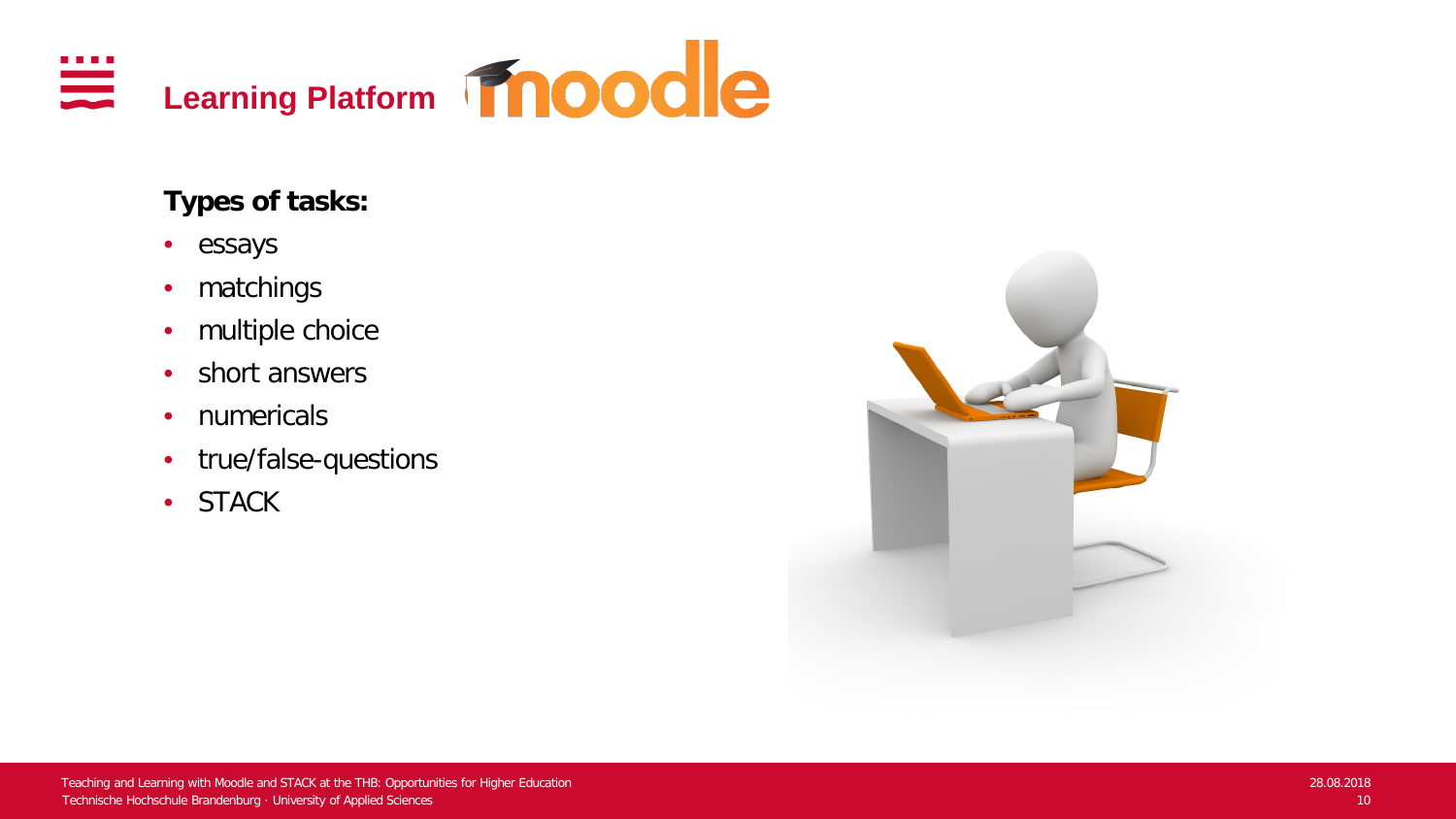

### **Types of tasks:**

- essays
- matchings
- multiple choice
- short answers
- numericals
- true/false-questions
- STACK

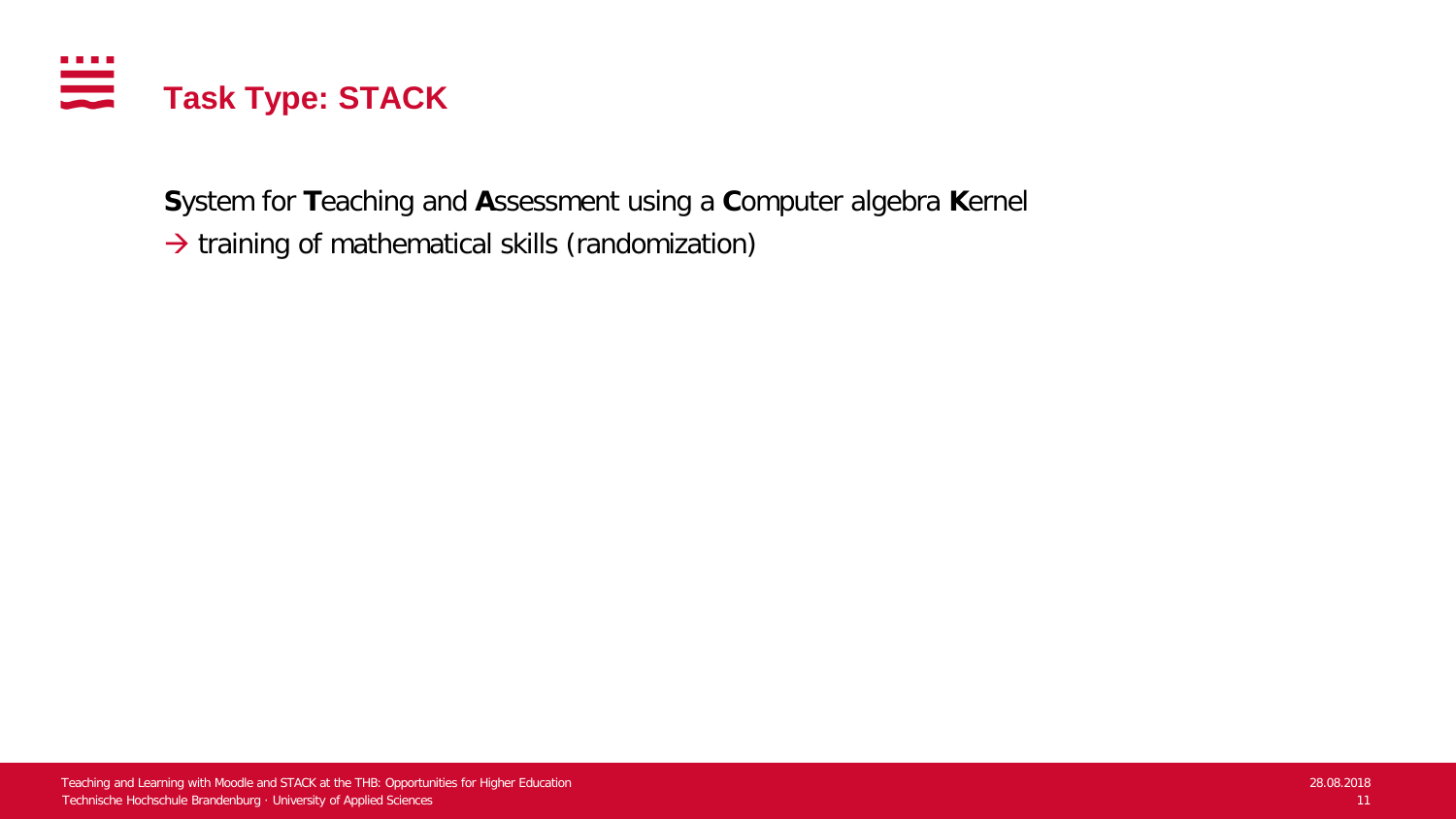

**S**ystem for **T**eaching and **A**ssessment using a **C**omputer algebra **K**ernel

 $\rightarrow$  training of mathematical skills (randomization)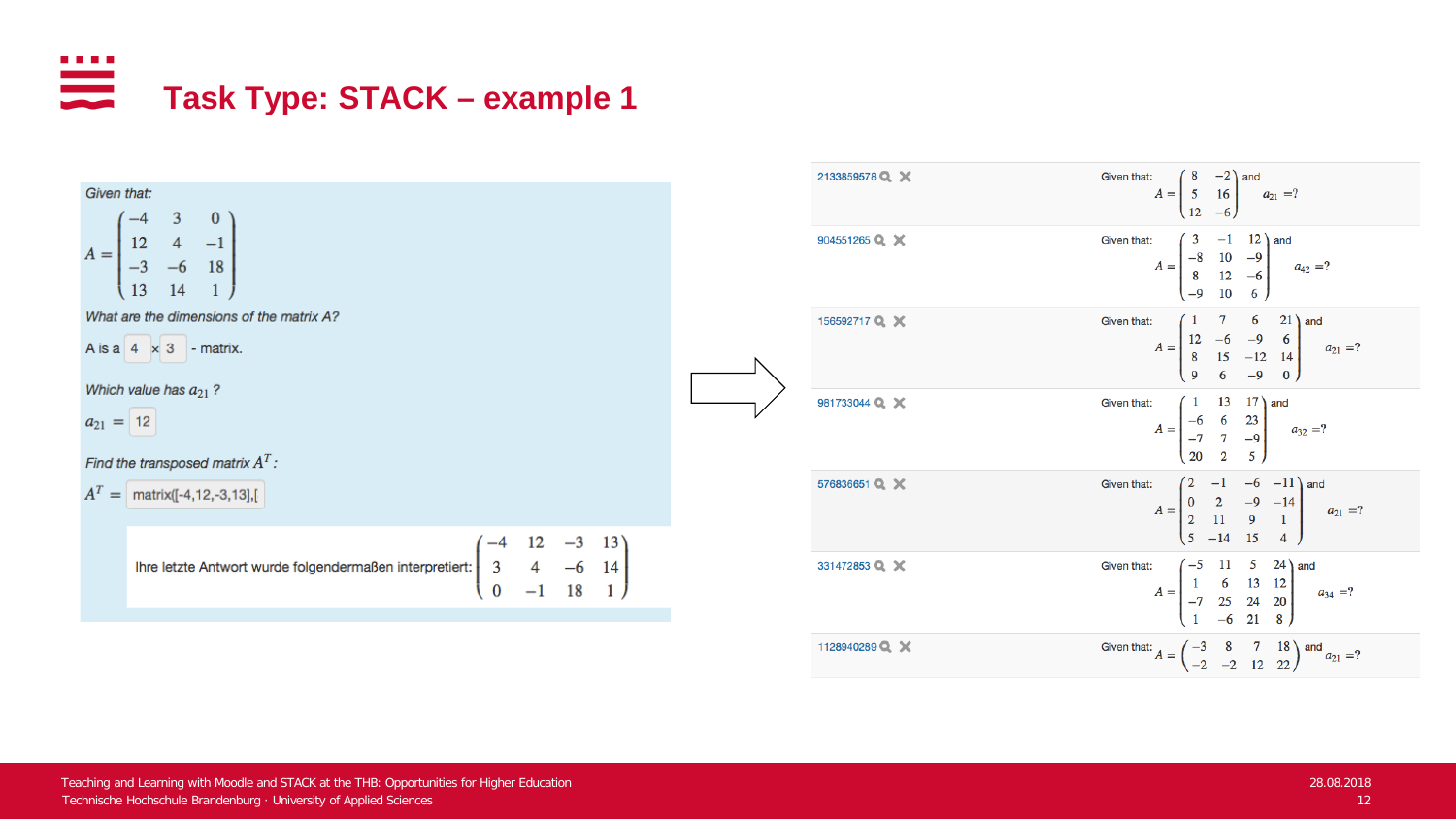### . . . . **Task Type: STACK – example 1**



| 2133859578 Q X | Given that:<br>$A = \begin{pmatrix} 8 & -2 \\ 5 & 16 \\ 10 & -6 \end{pmatrix}$ and $a_{21} = ?$                                                |
|----------------|------------------------------------------------------------------------------------------------------------------------------------------------|
| 904551265 Q X  | Given that:<br>$A = \begin{pmatrix} 3 & -1 & 12 \ -8 & 10 & -9 \ 8 & 12 & -6 \ 0 & 10 & 6 \end{pmatrix}$ and $a_{42} = ?$                      |
| 156592717Q X   | Given that:<br>$A = \begin{bmatrix} 1 & 7 & 0 & 21 \\ 12 & -6 & -9 & 6 \\ 8 & 15 & -12 & 14 \\ 0 & 6 & 0 & 0 \end{bmatrix}$ and $a_{21} = ?$   |
| 981733044 Q X  | Given that:<br>t:<br>$A = \begin{bmatrix} 1 & 13 & 17 \\ -6 & 6 & 23 \\ -7 & 7 & -9 \\ 1 & 1 & -9 \end{bmatrix}$ and $a_{32} = ?$              |
| 576836651 Q X  | Given that:<br>$A = \begin{pmatrix} 2 & -1 & -6 & -11 \\ 0 & 2 & -9 & -14 \\ 2 & 11 & 9 & 1 \\ 2 & 11 & 45 & 4 \end{pmatrix}$ and $a_{21} = ?$ |
| 331472853 Q X  | Given that:<br>$A = \begin{pmatrix} -5 & 11 & 5 & 24 \\ 1 & 6 & 13 & 12 \\ -7 & 25 & 24 & 20 \\ 1 & 6 & 21 & 8 \end{pmatrix}$ and $a_{34} = ?$ |
| 1128940289 Q X | Given that: $A = \begin{pmatrix} -3 & 8 & 7 & 18 \\ -2 & -2 & 12 & 22 \end{pmatrix}$ and $a_{21} = ?$                                          |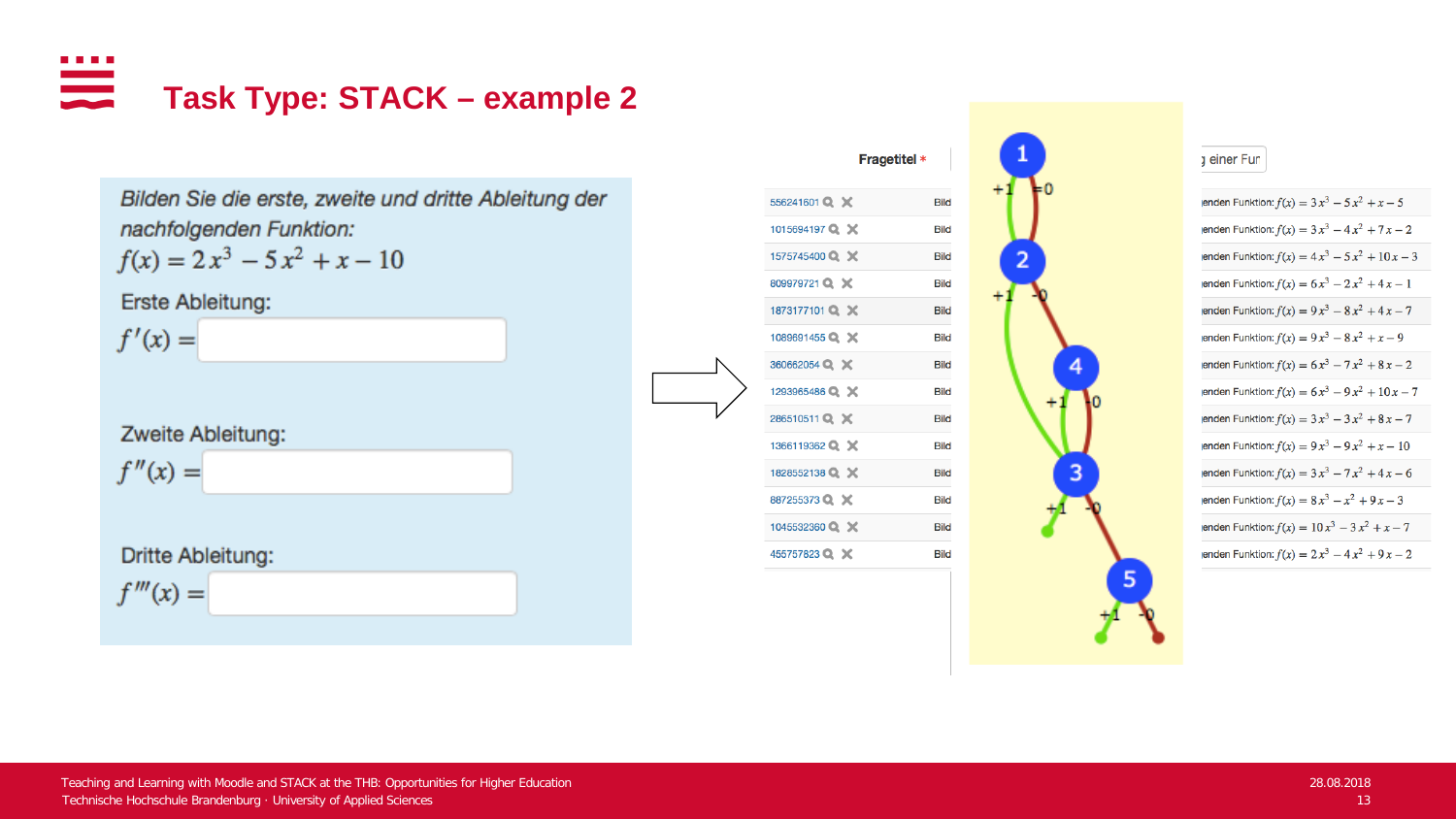<u>ana</u> **Task Type: STACK – example 2**

> Bilden Sie die erste, zweite und dritte Ableitung der nachfolgenden Funktion:

$$
f(x) = 2x^3 - 5x^2 + x - 10
$$

Erste Ableitung:

 $f'(x) =$ 

Zweite Ableitung:

 $f''(x) =$ 

Dritte Ableitung:  $f'''(x) =$ 



#### a einer Fun

5

enden Funktion:  $f(x) = 3x^3 - 5x^2 + x - 5$ enden Funktion:  $f(x) = 3x^3 - 4x^2 + 7x - 2$ enden Funktion:  $f(x) = 4x^3 - 5x^2 + 10x - 3$ enden Funktion:  $f(x) = 6x^3 - 2x^2 + 4x - 1$ enden Funktion:  $f(x) = 9x^3 - 8x^2 + 4x - 7$ enden Funktion:  $f(x) = 9x^3 - 8x^2 + x - 9$ enden Funktion:  $f(x) = 6x^3 - 7x^2 + 8x - 2$ enden Funktion:  $f(x) = 6x^3 - 9x^2 + 10x - 7$ enden Funktion:  $f(x) = 3x^3 - 3x^2 + 8x - 7$ enden Funktion:  $f(x) = 9x^3 - 9x^2 + x - 10$ enden Funktion:  $f(x) = 3x^3 - 7x^2 + 4x - 6$ enden Funktion:  $f(x) = 8x^3 - x^2 + 9x - 3$ enden Funktion:  $f(x) = 10x^3 - 3x^2 + x - 7$ enden Funktion:  $f(x) = 2x^3 - 4x^2 + 9x - 2$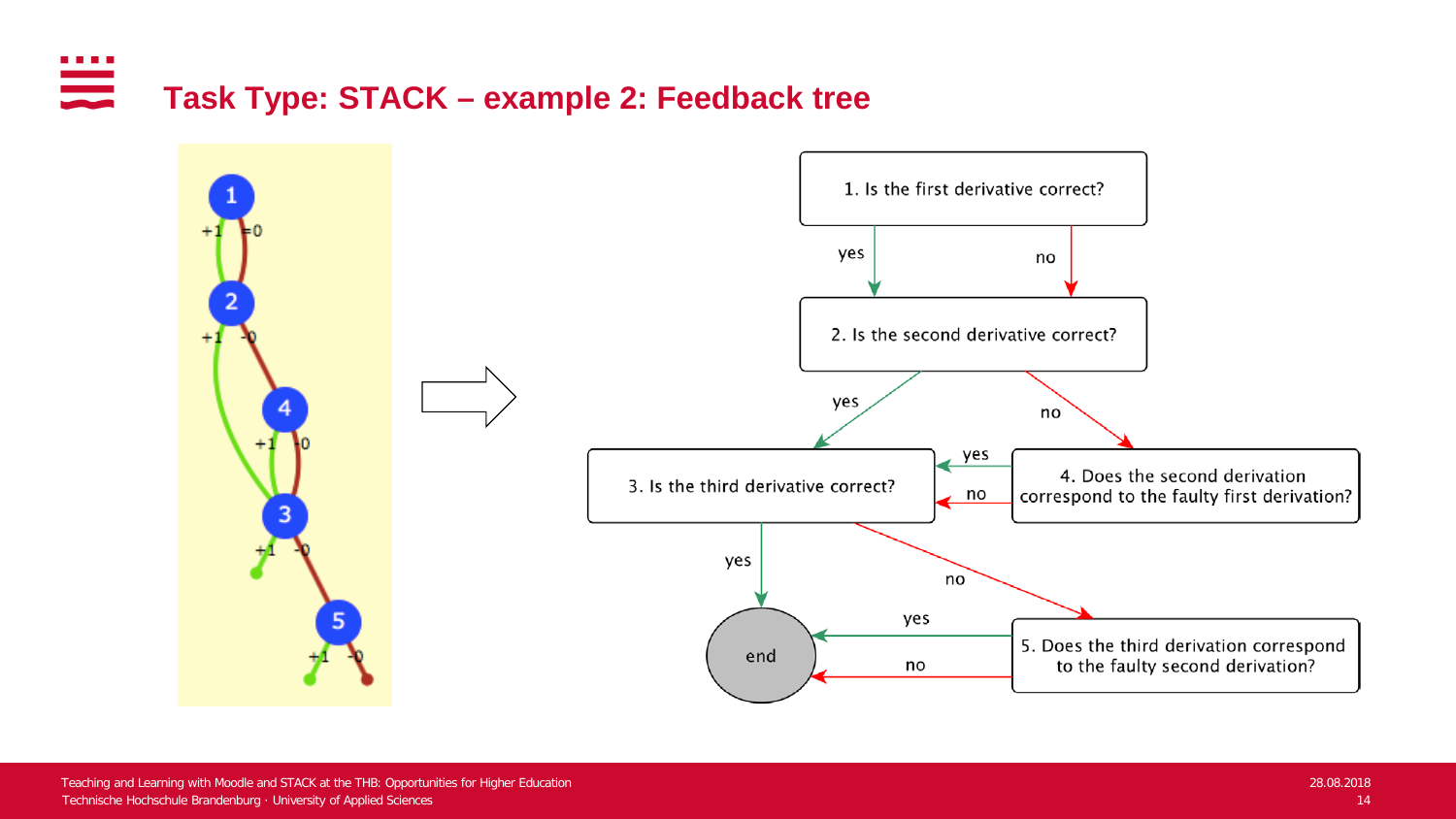#### . . . . **Task Type: STACK – example 2: Feedback tree**

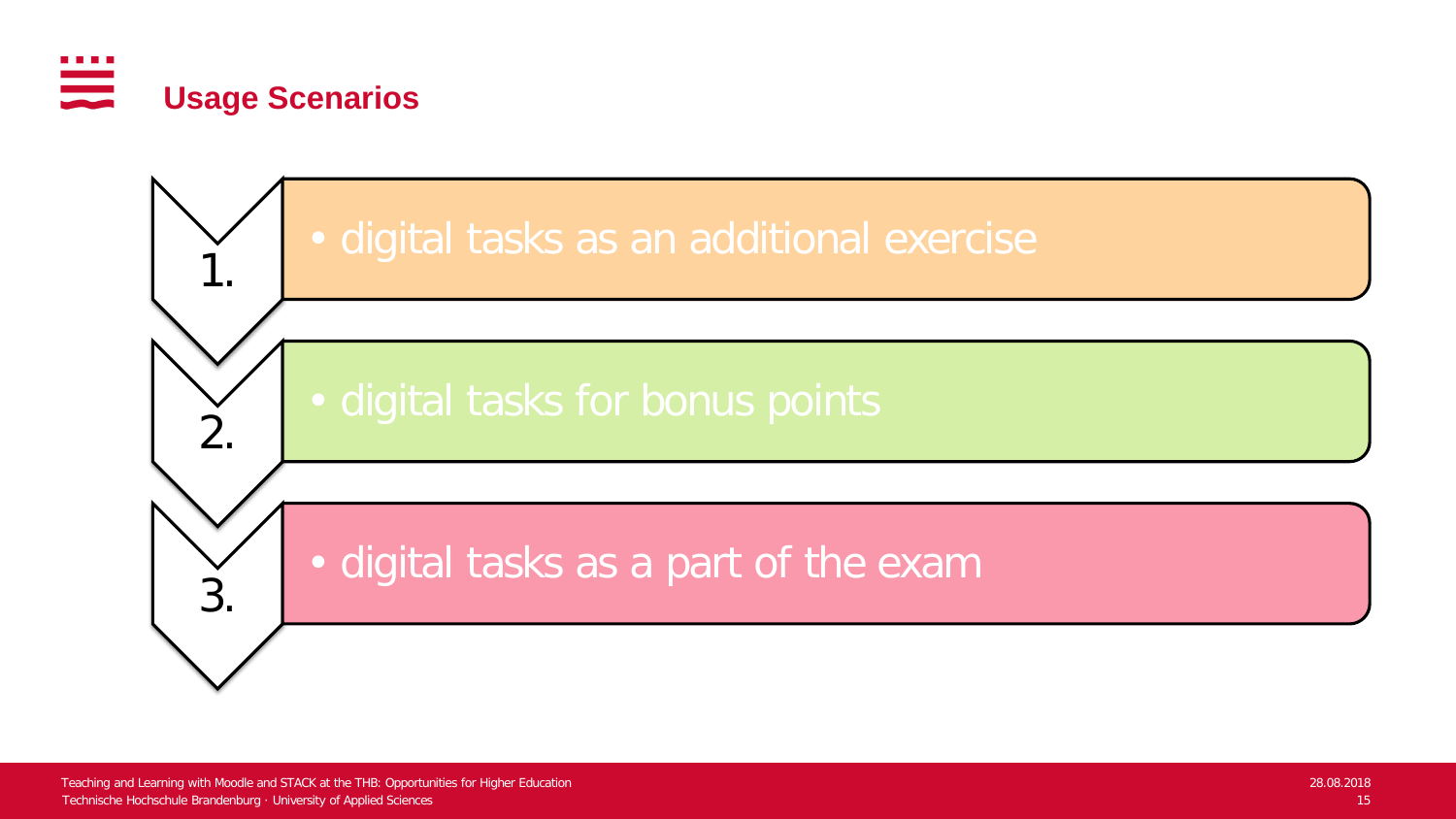

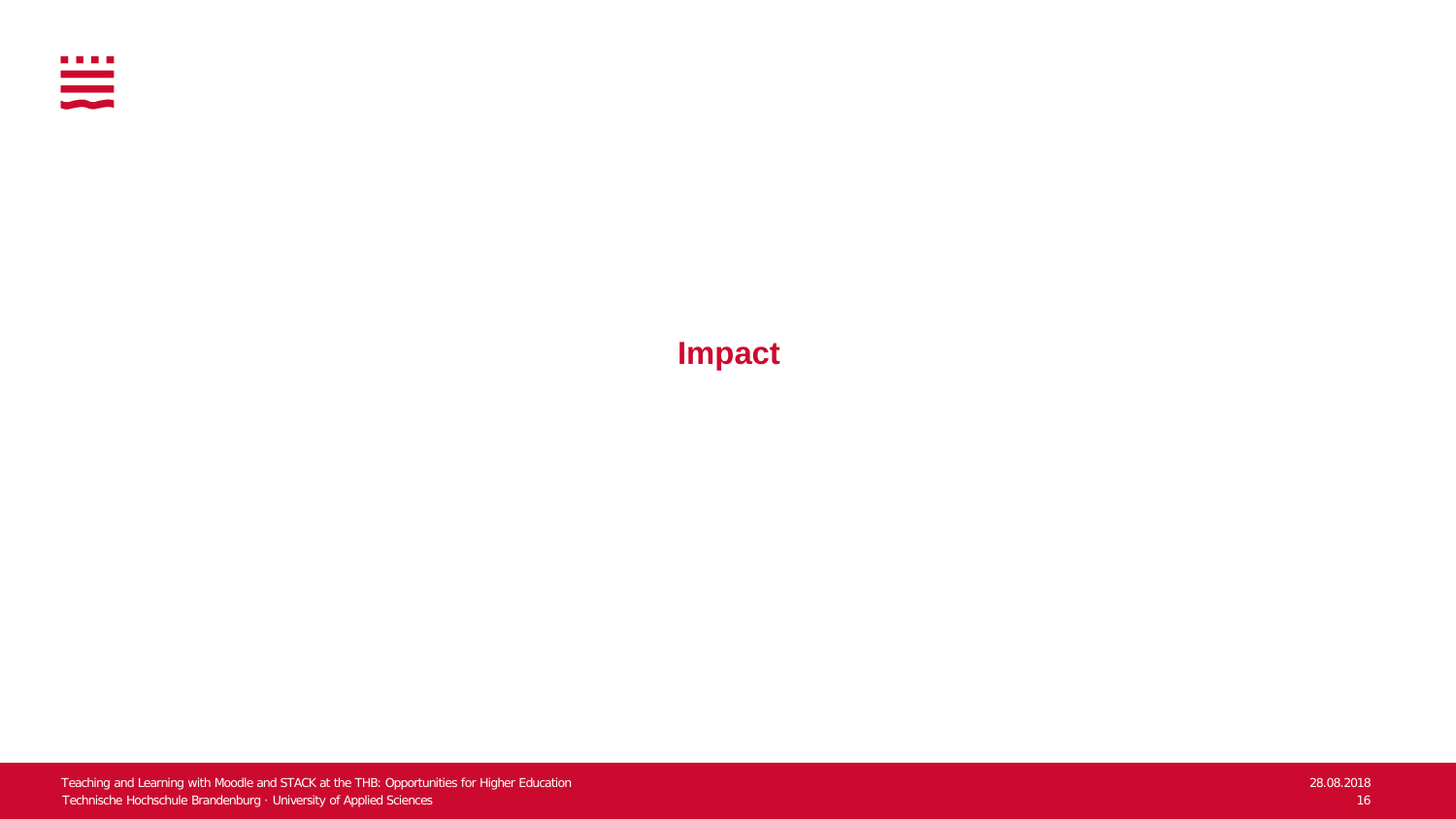

**Impact**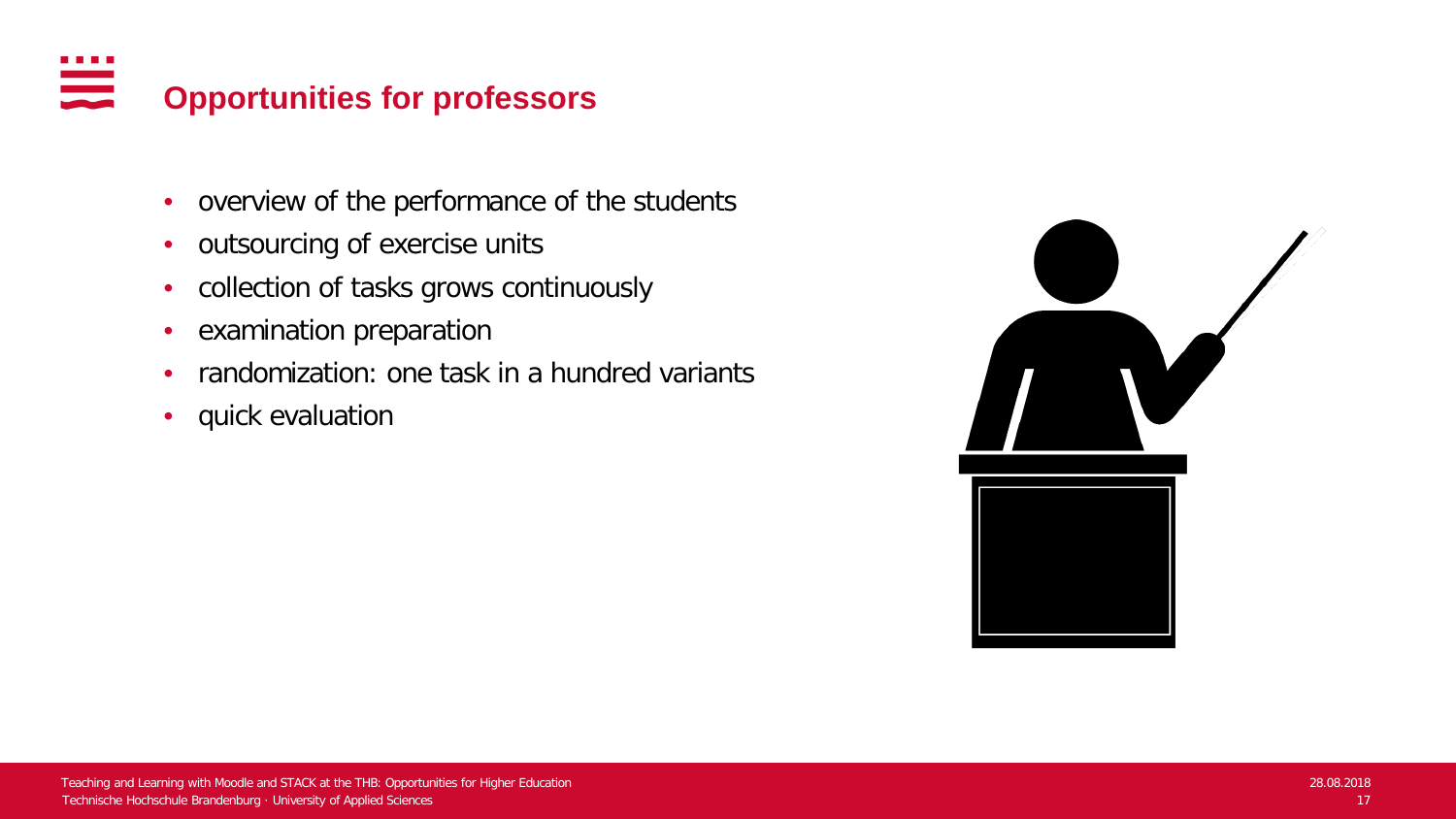#### . . . . anana.<br>Manazarta **Opportunities for professors**

- overview of the performance of the students
- outsourcing of exercise units
- collection of tasks grows continuously
- examination preparation
- randomization: one task in a hundred variants
- quick evaluation

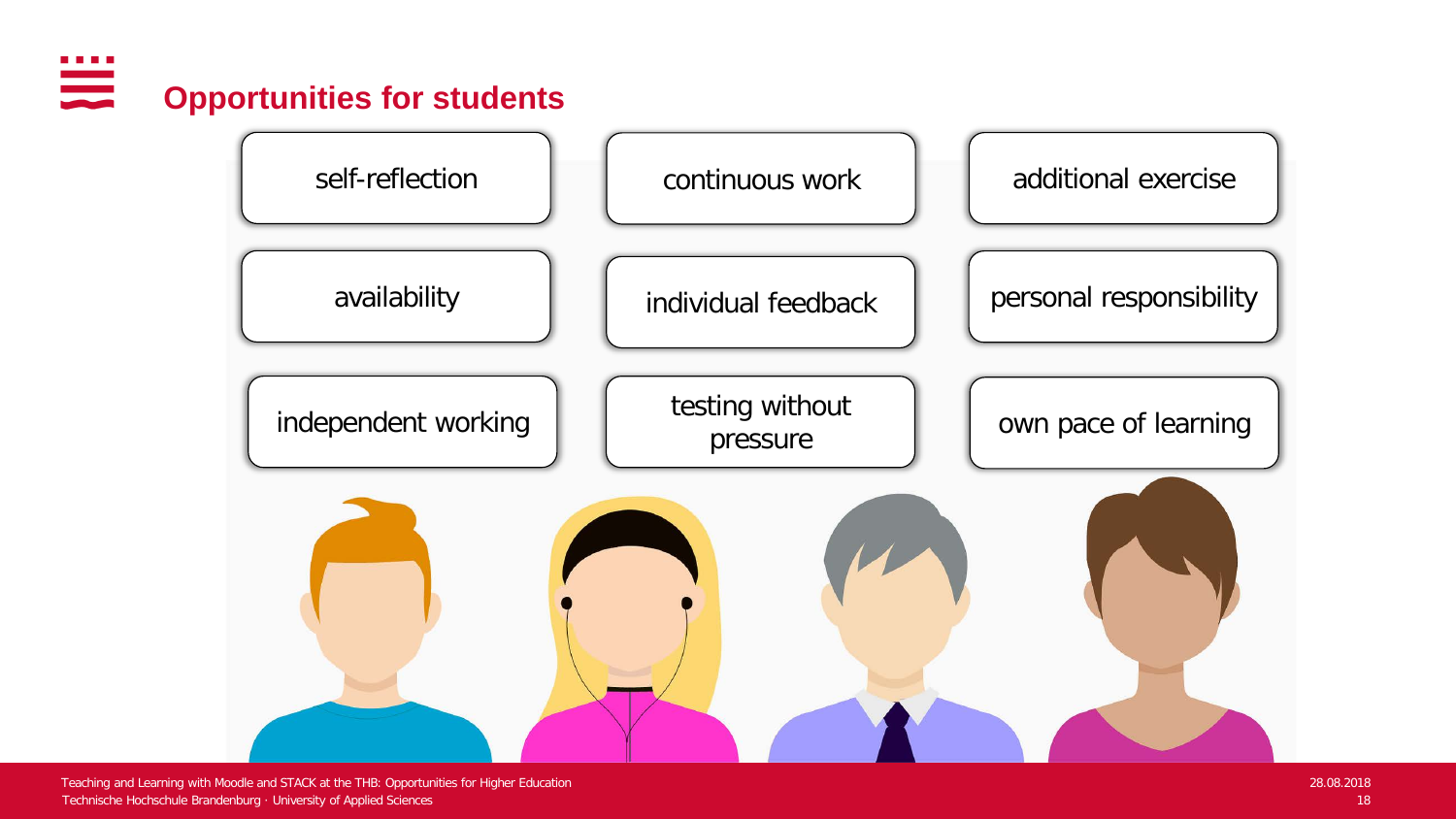### **The Common Opportunities for students**



Technische Hochschule Brandenburg · University of Applied Sciences 18 Teaching and Learning with Moodle and STACK at the THB: Opportunities for Higher Education 28.08.2018 28.08.2018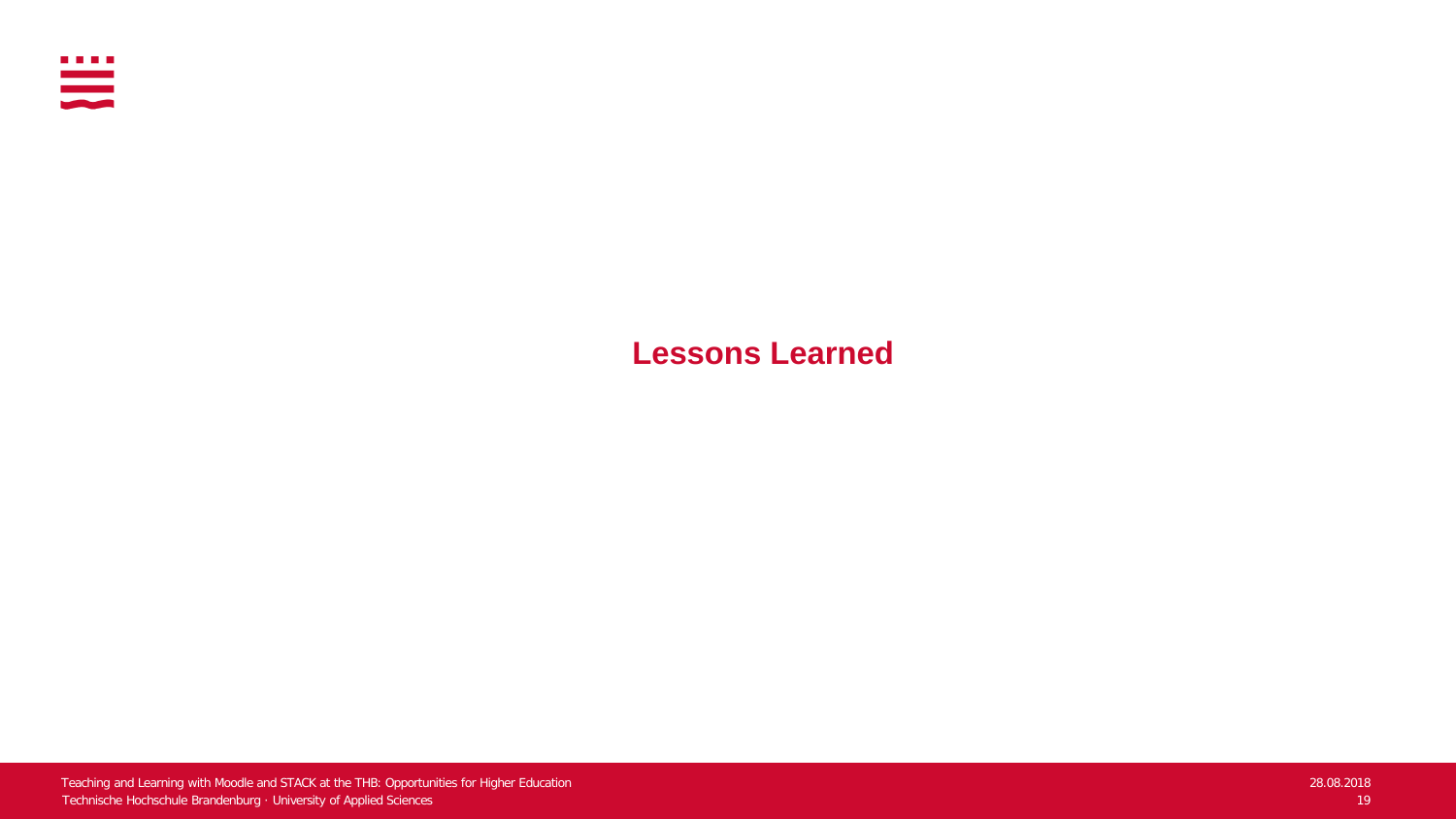

**Lessons Learned**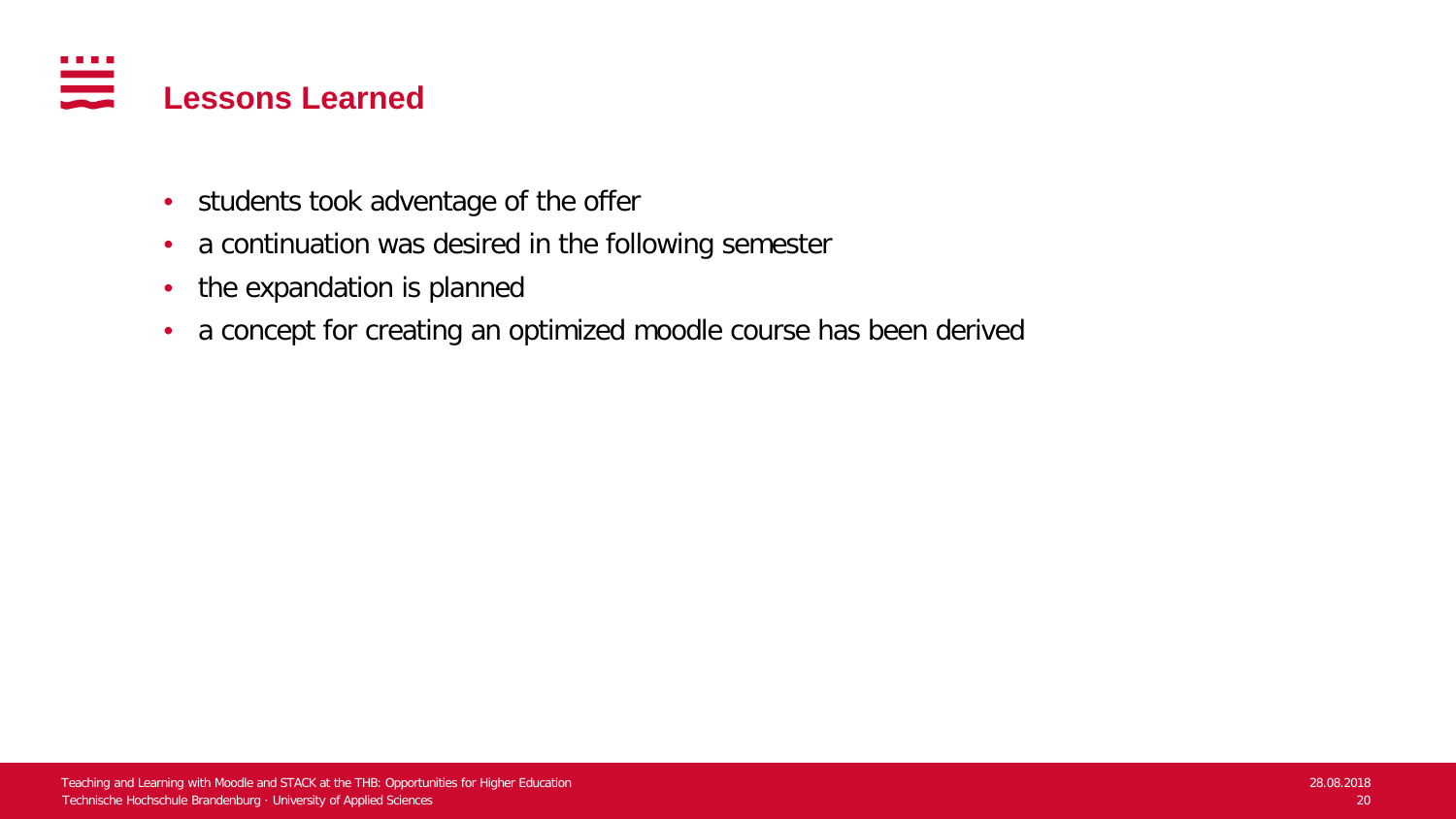

- students took adventage of the offer
- a continuation was desired in the following semester
- the expandation is planned
- a concept for creating an optimized moodle course has been derived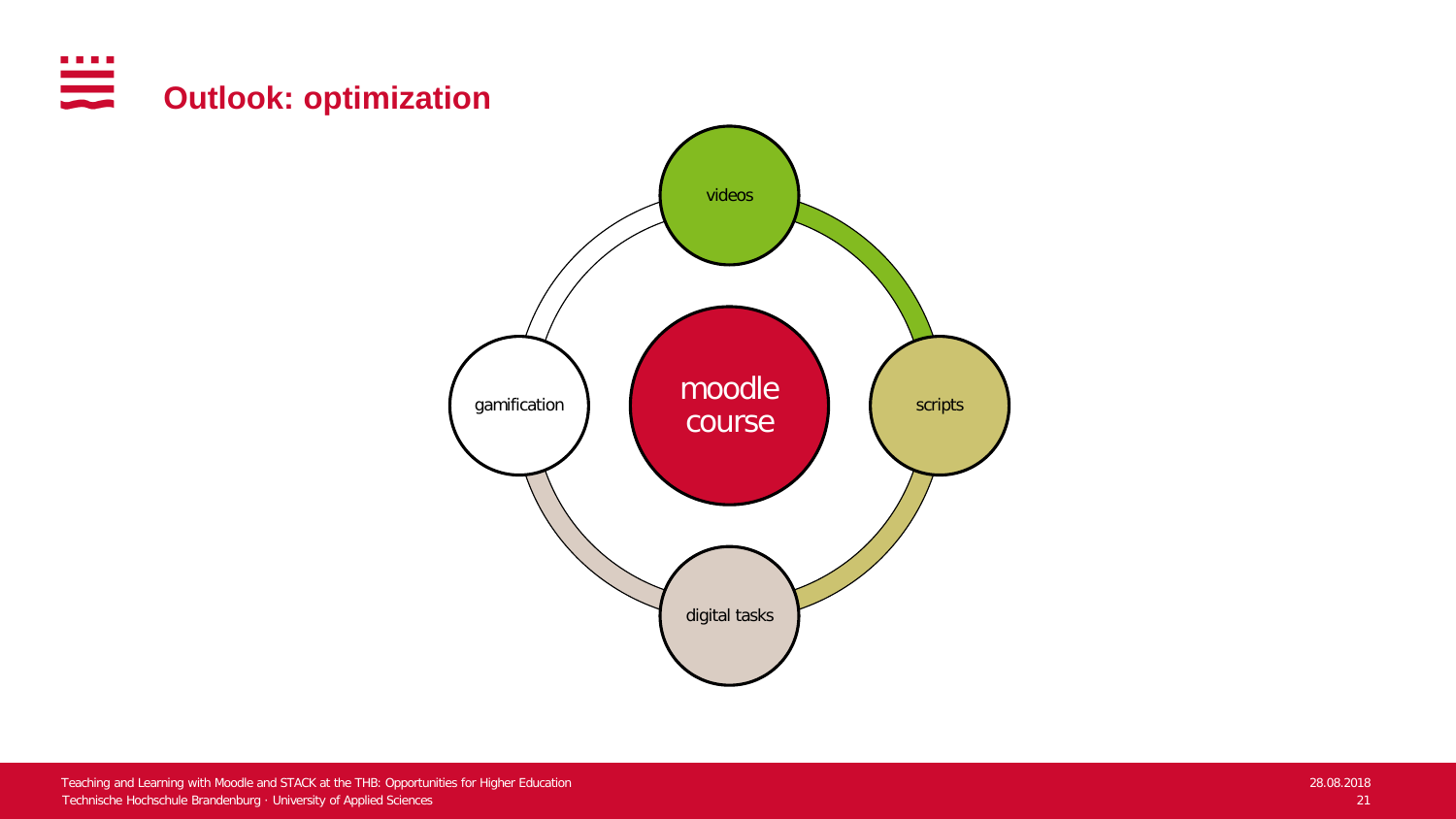

scripts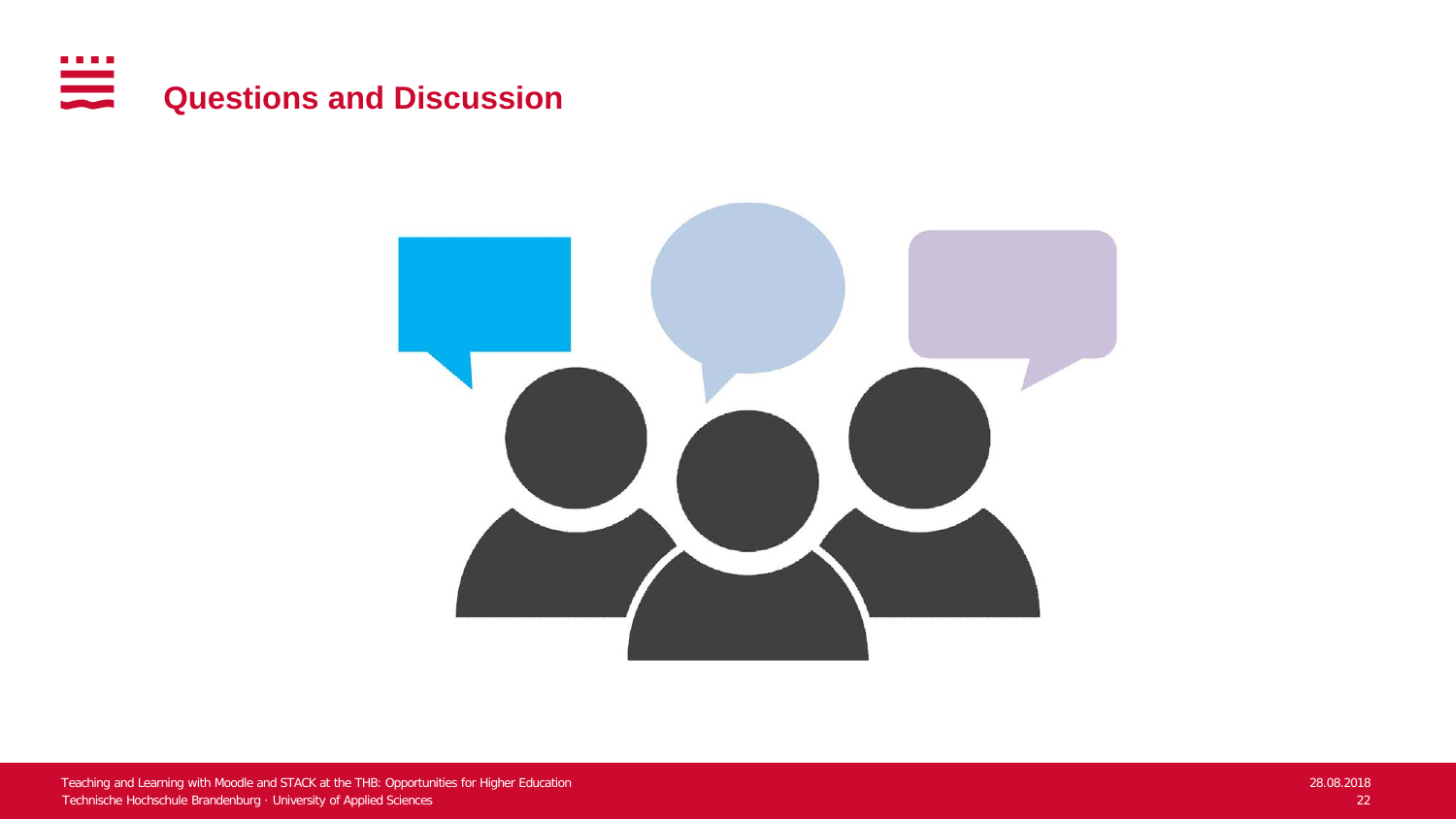